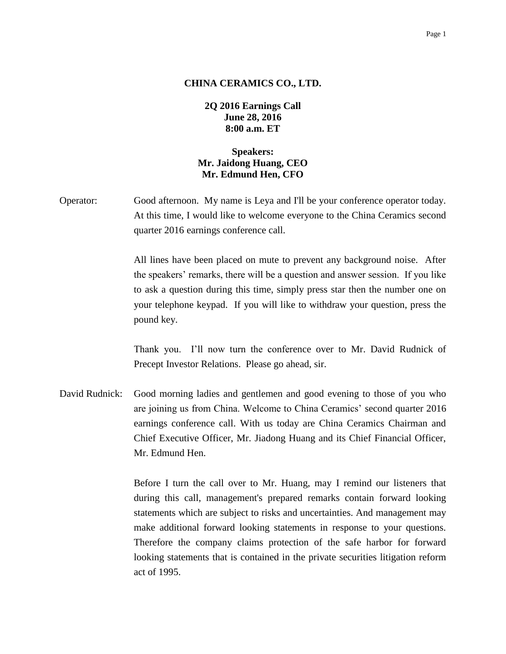#### Page 1

### **CHINA CERAMICS CO., LTD.**

**2Q 2016 Earnings Call June 28, 2016 8:00 a.m. ET**

# **Speakers: Mr. Jaidong Huang, CEO Mr. Edmund Hen, CFO**

Operator: Good afternoon. My name is Leya and I'll be your conference operator today. At this time, I would like to welcome everyone to the China Ceramics second quarter 2016 earnings conference call.

> All lines have been placed on mute to prevent any background noise. After the speakers' remarks, there will be a question and answer session. If you like to ask a question during this time, simply press star then the number one on your telephone keypad. If you will like to withdraw your question, press the pound key.

> Thank you. I'll now turn the conference over to Mr. David Rudnick of Precept Investor Relations. Please go ahead, sir.

David Rudnick: Good morning ladies and gentlemen and good evening to those of you who are joining us from China. Welcome to China Ceramics' second quarter 2016 earnings conference call. With us today are China Ceramics Chairman and Chief Executive Officer, Mr. Jiadong Huang and its Chief Financial Officer, Mr. Edmund Hen.

> Before I turn the call over to Mr. Huang, may I remind our listeners that during this call, management's prepared remarks contain forward looking statements which are subject to risks and uncertainties. And management may make additional forward looking statements in response to your questions. Therefore the company claims protection of the safe harbor for forward looking statements that is contained in the private securities litigation reform act of 1995.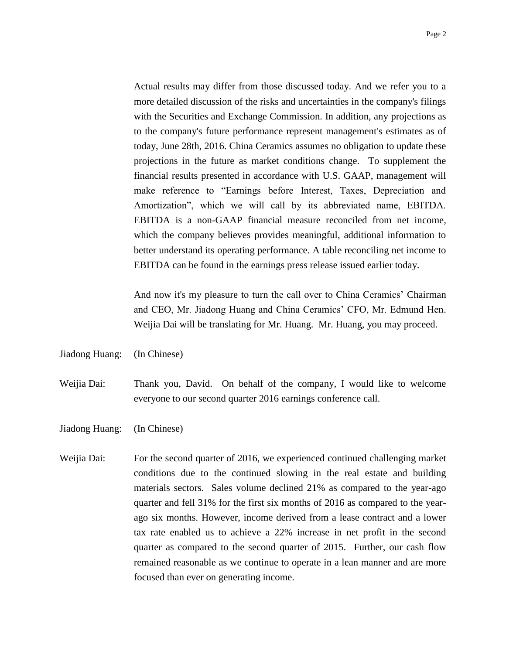Actual results may differ from those discussed today. And we refer you to a more detailed discussion of the risks and uncertainties in the company's filings with the Securities and Exchange Commission. In addition, any projections as to the company's future performance represent management's estimates as of today, June 28th, 2016. China Ceramics assumes no obligation to update these projections in the future as market conditions change. To supplement the financial results presented in accordance with U.S. GAAP, management will make reference to "Earnings before Interest, Taxes, Depreciation and Amortization", which we will call by its abbreviated name, EBITDA. EBITDA is a non-GAAP financial measure reconciled from net income, which the company believes provides meaningful, additional information to better understand its operating performance. A table reconciling net income to EBITDA can be found in the earnings press release issued earlier today.

And now it's my pleasure to turn the call over to China Ceramics' Chairman and CEO, Mr. Jiadong Huang and China Ceramics' CFO, Mr. Edmund Hen. Weijia Dai will be translating for Mr. Huang. Mr. Huang, you may proceed.

Jiadong Huang: (In Chinese)

Weijia Dai: Thank you, David. On behalf of the company, I would like to welcome everyone to our second quarter 2016 earnings conference call.

Jiadong Huang: (In Chinese)

Weijia Dai: For the second quarter of 2016, we experienced continued challenging market conditions due to the continued slowing in the real estate and building materials sectors. Sales volume declined 21% as compared to the year-ago quarter and fell 31% for the first six months of 2016 as compared to the yearago six months. However, income derived from a lease contract and a lower tax rate enabled us to achieve a 22% increase in net profit in the second quarter as compared to the second quarter of 2015. Further, our cash flow remained reasonable as we continue to operate in a lean manner and are more focused than ever on generating income.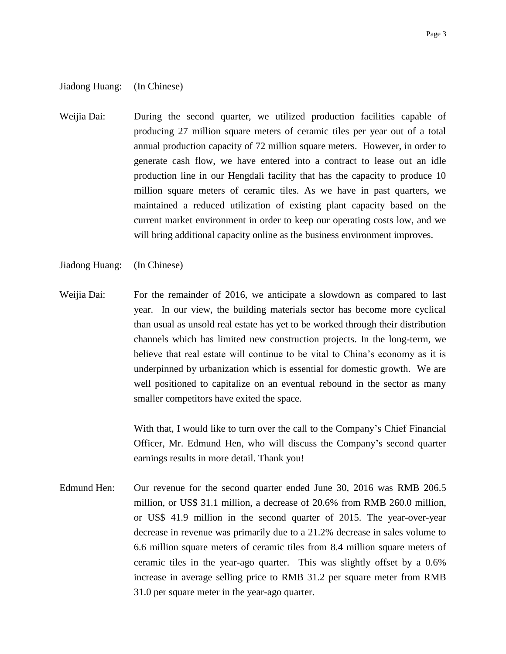## Jiadong Huang: (In Chinese)

Weijia Dai: During the second quarter, we utilized production facilities capable of producing 27 million square meters of ceramic tiles per year out of a total annual production capacity of 72 million square meters. However, in order to generate cash flow, we have entered into a contract to lease out an idle production line in our Hengdali facility that has the capacity to produce 10 million square meters of ceramic tiles. As we have in past quarters, we maintained a reduced utilization of existing plant capacity based on the current market environment in order to keep our operating costs low, and we will bring additional capacity online as the business environment improves.

### Jiadong Huang: (In Chinese)

Weijia Dai: For the remainder of 2016, we anticipate a slowdown as compared to last year. In our view, the building materials sector has become more cyclical than usual as unsold real estate has yet to be worked through their distribution channels which has limited new construction projects. In the long-term, we believe that real estate will continue to be vital to China's economy as it is underpinned by urbanization which is essential for domestic growth. We are well positioned to capitalize on an eventual rebound in the sector as many smaller competitors have exited the space.

> With that, I would like to turn over the call to the Company's Chief Financial Officer, Mr. Edmund Hen, who will discuss the Company's second quarter earnings results in more detail. Thank you!

Edmund Hen: Our revenue for the second quarter ended June 30, 2016 was RMB 206.5 million, or US\$ 31.1 million, a decrease of 20.6% from RMB 260.0 million, or US\$ 41.9 million in the second quarter of 2015. The year-over-year decrease in revenue was primarily due to a 21.2% decrease in sales volume to 6.6 million square meters of ceramic tiles from 8.4 million square meters of ceramic tiles in the year-ago quarter. This was slightly offset by a 0.6% increase in average selling price to RMB 31.2 per square meter from RMB 31.0 per square meter in the year-ago quarter.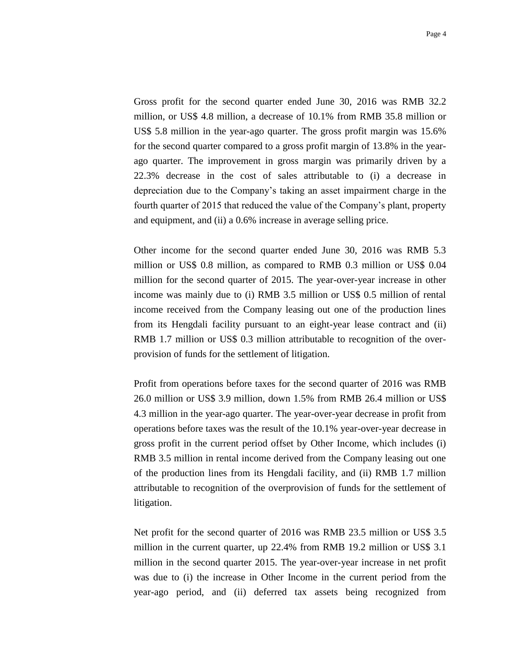Gross profit for the second quarter ended June 30, 2016 was RMB 32.2 million, or US\$ 4.8 million, a decrease of 10.1% from RMB 35.8 million or US\$ 5.8 million in the year-ago quarter. The gross profit margin was 15.6% for the second quarter compared to a gross profit margin of 13.8% in the yearago quarter. The improvement in gross margin was primarily driven by a 22.3% decrease in the cost of sales attributable to (i) a decrease in depreciation due to the Company's taking an asset impairment charge in the fourth quarter of 2015 that reduced the value of the Company's plant, property and equipment, and (ii) a 0.6% increase in average selling price.

Other income for the second quarter ended June 30, 2016 was RMB 5.3 million or US\$ 0.8 million, as compared to RMB 0.3 million or US\$ 0.04 million for the second quarter of 2015. The year-over-year increase in other income was mainly due to (i) RMB 3.5 million or US\$ 0.5 million of rental income received from the Company leasing out one of the production lines from its Hengdali facility pursuant to an eight-year lease contract and (ii) RMB 1.7 million or US\$ 0.3 million attributable to recognition of the overprovision of funds for the settlement of litigation.

Profit from operations before taxes for the second quarter of 2016 was RMB 26.0 million or US\$ 3.9 million, down 1.5% from RMB 26.4 million or US\$ 4.3 million in the year-ago quarter. The year-over-year decrease in profit from operations before taxes was the result of the 10.1% year-over-year decrease in gross profit in the current period offset by Other Income, which includes (i) RMB 3.5 million in rental income derived from the Company leasing out one of the production lines from its Hengdali facility, and (ii) RMB 1.7 million attributable to recognition of the overprovision of funds for the settlement of litigation.

Net profit for the second quarter of 2016 was RMB 23.5 million or US\$ 3.5 million in the current quarter, up 22.4% from RMB 19.2 million or US\$ 3.1 million in the second quarter 2015. The year-over-year increase in net profit was due to (i) the increase in Other Income in the current period from the year-ago period, and (ii) deferred tax assets being recognized from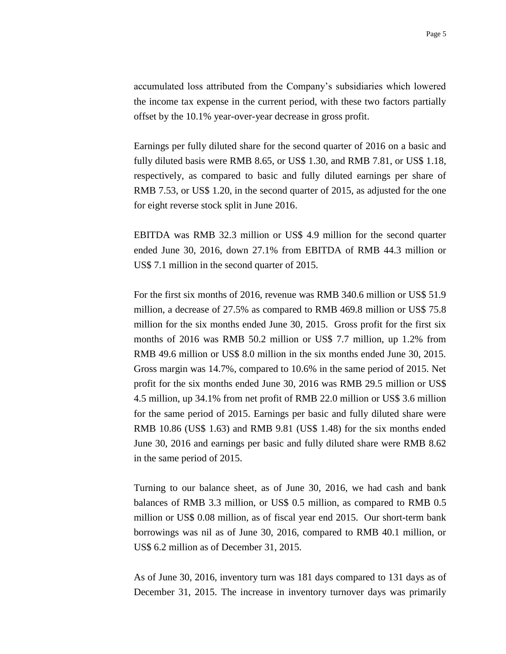accumulated loss attributed from the Company's subsidiaries which lowered the income tax expense in the current period, with these two factors partially offset by the 10.1% year-over-year decrease in gross profit.

Earnings per fully diluted share for the second quarter of 2016 on a basic and fully diluted basis were RMB 8.65, or US\$ 1.30, and RMB 7.81, or US\$ 1.18, respectively, as compared to basic and fully diluted earnings per share of RMB 7.53, or US\$ 1.20, in the second quarter of 2015, as adjusted for the one for eight reverse stock split in June 2016.

EBITDA was RMB 32.3 million or US\$ 4.9 million for the second quarter ended June 30, 2016, down 27.1% from EBITDA of RMB 44.3 million or US\$ 7.1 million in the second quarter of 2015.

For the first six months of 2016, revenue was RMB 340.6 million or US\$ 51.9 million, a decrease of 27.5% as compared to RMB 469.8 million or US\$ 75.8 million for the six months ended June 30, 2015. Gross profit for the first six months of 2016 was RMB 50.2 million or US\$ 7.7 million, up 1.2% from RMB 49.6 million or US\$ 8.0 million in the six months ended June 30, 2015. Gross margin was 14.7%, compared to 10.6% in the same period of 2015. Net profit for the six months ended June 30, 2016 was RMB 29.5 million or US\$ 4.5 million, up 34.1% from net profit of RMB 22.0 million or US\$ 3.6 million for the same period of 2015. Earnings per basic and fully diluted share were RMB 10.86 (US\$ 1.63) and RMB 9.81 (US\$ 1.48) for the six months ended June 30, 2016 and earnings per basic and fully diluted share were RMB 8.62 in the same period of 2015.

Turning to our balance sheet, as of June 30, 2016, we had cash and bank balances of RMB 3.3 million, or US\$ 0.5 million, as compared to RMB 0.5 million or US\$ 0.08 million, as of fiscal year end 2015. Our short-term bank borrowings was nil as of June 30, 2016, compared to RMB 40.1 million, or US\$ 6.2 million as of December 31, 2015.

As of June 30, 2016, inventory turn was 181 days compared to 131 days as of December 31, 2015. The increase in inventory turnover days was primarily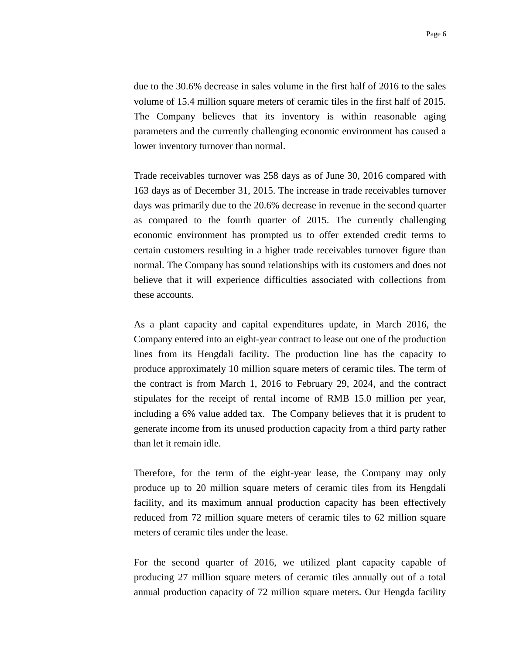due to the 30.6% decrease in sales volume in the first half of 2016 to the sales volume of 15.4 million square meters of ceramic tiles in the first half of 2015. The Company believes that its inventory is within reasonable aging parameters and the currently challenging economic environment has caused a lower inventory turnover than normal.

Trade receivables turnover was 258 days as of June 30, 2016 compared with 163 days as of December 31, 2015. The increase in trade receivables turnover days was primarily due to the 20.6% decrease in revenue in the second quarter as compared to the fourth quarter of 2015. The currently challenging economic environment has prompted us to offer extended credit terms to certain customers resulting in a higher trade receivables turnover figure than normal. The Company has sound relationships with its customers and does not believe that it will experience difficulties associated with collections from these accounts.

As a plant capacity and capital expenditures update, in March 2016, the Company entered into an eight-year contract to lease out one of the production lines from its Hengdali facility. The production line has the capacity to produce approximately 10 million square meters of ceramic tiles. The term of the contract is from March 1, 2016 to February 29, 2024, and the contract stipulates for the receipt of rental income of RMB 15.0 million per year, including a 6% value added tax. The Company believes that it is prudent to generate income from its unused production capacity from a third party rather than let it remain idle.

Therefore, for the term of the eight-year lease, the Company may only produce up to 20 million square meters of ceramic tiles from its Hengdali facility, and its maximum annual production capacity has been effectively reduced from 72 million square meters of ceramic tiles to 62 million square meters of ceramic tiles under the lease.

For the second quarter of 2016, we utilized plant capacity capable of producing 27 million square meters of ceramic tiles annually out of a total annual production capacity of 72 million square meters. Our Hengda facility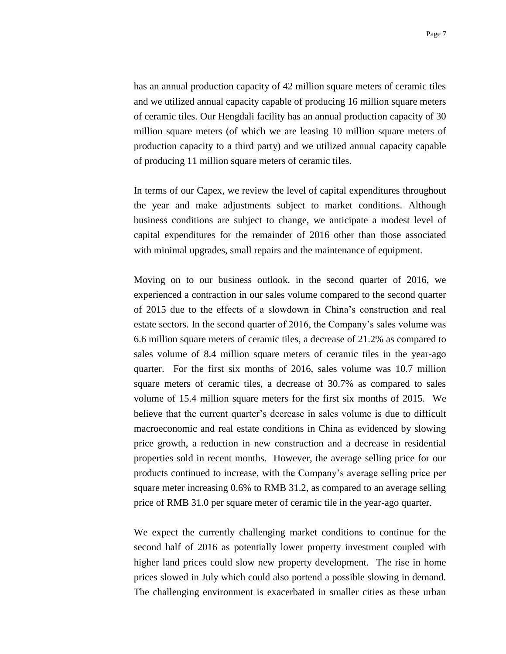has an annual production capacity of 42 million square meters of ceramic tiles and we utilized annual capacity capable of producing 16 million square meters of ceramic tiles. Our Hengdali facility has an annual production capacity of 30 million square meters (of which we are leasing 10 million square meters of production capacity to a third party) and we utilized annual capacity capable of producing 11 million square meters of ceramic tiles.

In terms of our Capex, we review the level of capital expenditures throughout the year and make adjustments subject to market conditions. Although business conditions are subject to change, we anticipate a modest level of capital expenditures for the remainder of 2016 other than those associated with minimal upgrades, small repairs and the maintenance of equipment.

Moving on to our business outlook, in the second quarter of 2016, we experienced a contraction in our sales volume compared to the second quarter of 2015 due to the effects of a slowdown in China's construction and real estate sectors. In the second quarter of 2016, the Company's sales volume was 6.6 million square meters of ceramic tiles, a decrease of 21.2% as compared to sales volume of 8.4 million square meters of ceramic tiles in the year-ago quarter. For the first six months of 2016, sales volume was 10.7 million square meters of ceramic tiles, a decrease of 30.7% as compared to sales volume of 15.4 million square meters for the first six months of 2015. We believe that the current quarter's decrease in sales volume is due to difficult macroeconomic and real estate conditions in China as evidenced by slowing price growth, a reduction in new construction and a decrease in residential properties sold in recent months. However, the average selling price for our products continued to increase, with the Company's average selling price per square meter increasing 0.6% to RMB 31.2, as compared to an average selling price of RMB 31.0 per square meter of ceramic tile in the year-ago quarter.

We expect the currently challenging market conditions to continue for the second half of 2016 as potentially lower property investment coupled with higher land prices could slow new property development. The rise in home prices slowed in July which could also portend a possible slowing in demand. The challenging environment is exacerbated in smaller cities as these urban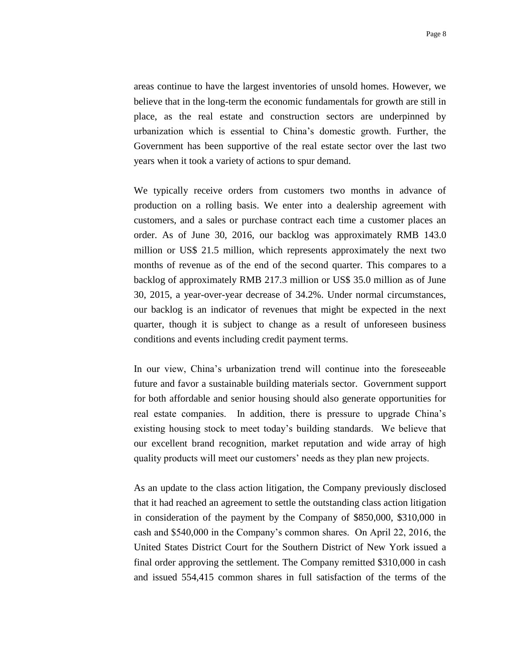areas continue to have the largest inventories of unsold homes. However, we believe that in the long-term the economic fundamentals for growth are still in place, as the real estate and construction sectors are underpinned by urbanization which is essential to China's domestic growth. Further, the Government has been supportive of the real estate sector over the last two years when it took a variety of actions to spur demand.

We typically receive orders from customers two months in advance of production on a rolling basis. We enter into a dealership agreement with customers, and a sales or purchase contract each time a customer places an order. As of June 30, 2016, our backlog was approximately RMB 143.0 million or US\$ 21.5 million, which represents approximately the next two months of revenue as of the end of the second quarter. This compares to a backlog of approximately RMB 217.3 million or US\$ 35.0 million as of June 30, 2015, a year-over-year decrease of 34.2%. Under normal circumstances, our backlog is an indicator of revenues that might be expected in the next quarter, though it is subject to change as a result of unforeseen business conditions and events including credit payment terms.

In our view, China's urbanization trend will continue into the foreseeable future and favor a sustainable building materials sector. Government support for both affordable and senior housing should also generate opportunities for real estate companies. In addition, there is pressure to upgrade China's existing housing stock to meet today's building standards. We believe that our excellent brand recognition, market reputation and wide array of high quality products will meet our customers' needs as they plan new projects.

As an update to the class action litigation, the Company previously disclosed that it had reached an agreement to settle the outstanding class action litigation in consideration of the payment by the Company of \$850,000, \$310,000 in cash and \$540,000 in the Company's common shares. On April 22, 2016, the United States District Court for the Southern District of New York issued a final order approving the settlement. The Company remitted \$310,000 in cash and issued 554,415 common shares in full satisfaction of the terms of the